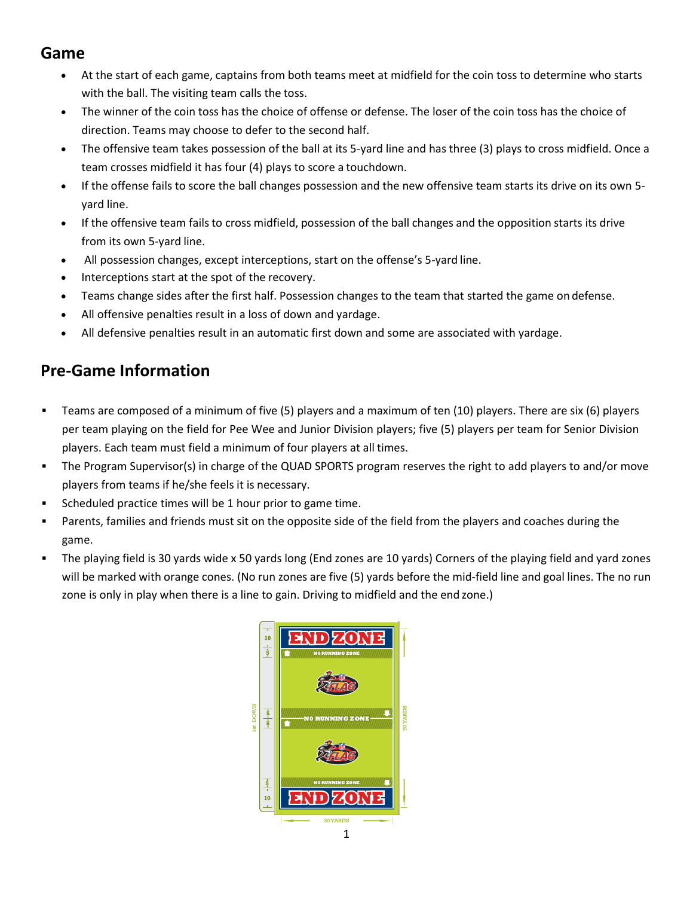#### **Game**

- At the start of each game, captains from both teams meet at midfield for the coin toss to determine who starts with the ball. The visiting team calls the toss.
- The winner of the coin toss has the choice of offense or defense. The loser of the coin toss has the choice of direction. Teams may choose to defer to the second half.
- The offensive team takes possession of the ball at its 5-yard line and has three (3) plays to cross midfield. Once a team crosses midfield it has four (4) plays to score a touchdown.
- If the offense fails to score the ball changes possession and the new offensive team starts its drive on its own 5 yard line.
- If the offensive team fails to cross midfield, possession of the ball changes and the opposition starts its drive from its own 5-yard line.
- All possession changes, except interceptions, start on the offense's 5-yard line.
- Interceptions start at the spot of the recovery.
- Teams change sides after the first half. Possession changes to the team that started the game on defense.
- All offensive penalties result in a loss of down and yardage.
- All defensive penalties result in an automatic first down and some are associated with yardage.

### **Pre-Game Information**

- Teams are composed of a minimum of five (5) players and a maximum of ten (10) players. There are six (6) players per team playing on the field for Pee Wee and Junior Division players; five (5) players per team for Senior Division players. Each team must field a minimum of four players at all times.
- The Program Supervisor(s) in charge of the QUAD SPORTS program reserves the right to add players to and/or move players from teams if he/she feels it is necessary.
- Scheduled practice times will be 1 hour prior to game time.
- Parents, families and friends must sit on the opposite side of the field from the players and coaches during the game.
- The playing field is 30 yards wide x 50 yards long (End zones are 10 yards) Corners of the playing field and yard zones will be marked with orange cones. (No run zones are five (5) yards before the mid-field line and goal lines. The no run zone is only in play when there is a line to gain. Driving to midfield and the end zone.)

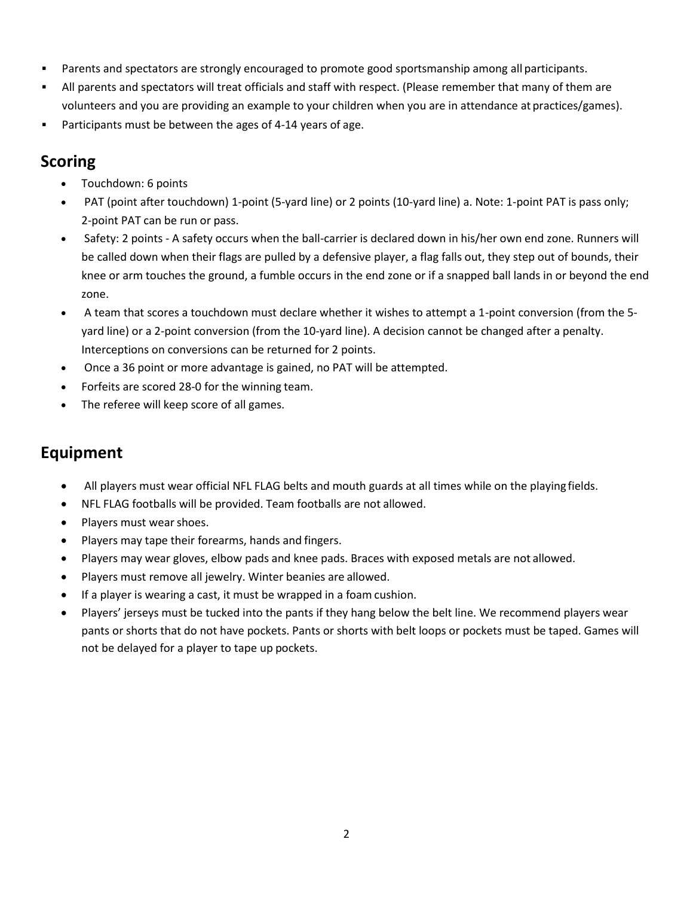- Parents and spectators are strongly encouraged to promote good sportsmanship among all participants.
- All parents and spectators will treat officials and staff with respect. (Please remember that many of them are volunteers and you are providing an example to your children when you are in attendance at practices/games).
- Participants must be between the ages of 4-14 years of age.

#### **Scoring**

- Touchdown: 6 points
- PAT (point after touchdown) 1-point (5-yard line) or 2 points (10-yard line) a. Note: 1-point PAT is pass only; 2-point PAT can be run or pass.
- Safety: 2 points A safety occurs when the ball-carrier is declared down in his/her own end zone. Runners will be called down when their flags are pulled by a defensive player, a flag falls out, they step out of bounds, their knee or arm touches the ground, a fumble occurs in the end zone or if a snapped ball lands in or beyond the end zone.
- A team that scores a touchdown must declare whether it wishes to attempt a 1-point conversion (from the 5 yard line) or a 2-point conversion (from the 10-yard line). A decision cannot be changed after a penalty. Interceptions on conversions can be returned for 2 points.
- Once a 36 point or more advantage is gained, no PAT will be attempted.
- Forfeits are scored 28-0 for the winning team.
- The referee will keep score of all games.

## **Equipment**

- All players must wear official NFL FLAG belts and mouth guards at all times while on the playing fields.
- NFL FLAG footballs will be provided. Team footballs are not allowed.
- Players must wear shoes.
- Players may tape their forearms, hands and fingers.
- Players may wear gloves, elbow pads and knee pads. Braces with exposed metals are not allowed.
- Players must remove all jewelry. Winter beanies are allowed.
- If a player is wearing a cast, it must be wrapped in a foam cushion.
- Players' jerseys must be tucked into the pants if they hang below the belt line. We recommend players wear pants or shorts that do not have pockets. Pants or shorts with belt loops or pockets must be taped. Games will not be delayed for a player to tape up pockets.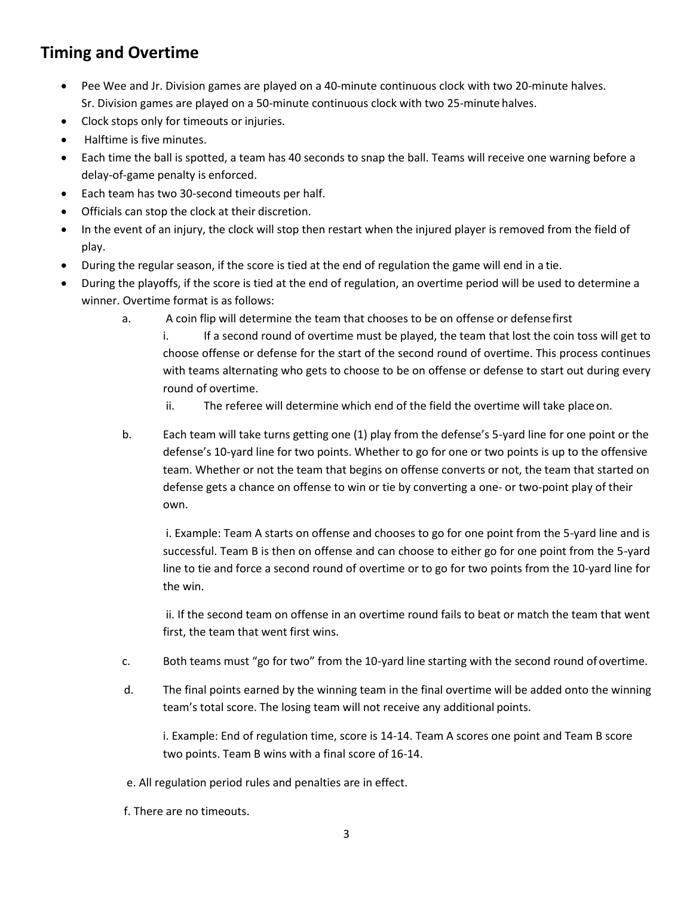### **Timing and Overtime**

- Pee Wee and Jr. Division games are played on a 40-minute continuous clock with two 20-minute halves. Sr. Division games are played on a 50-minute continuous clock with two 25-minute halves.
- Clock stops only for timeouts or injuries.
- Halftime is five minutes.
- Each time the ball is spotted, a team has 40 seconds to snap the ball. Teams will receive one warning before a delay-of-game penalty is enforced.
- Each team has two 30-second timeouts per half.
- Officials can stop the clock at their discretion.
- In the event of an injury, the clock will stop then restart when the injured player is removed from the field of play.
- During the regular season, if the score is tied at the end of regulation the game will end in a tie.
- During the playoffs, if the score is tied at the end of regulation, an overtime period will be used to determine a winner. Overtime format is as follows:
	- a. A coin flip will determine the team that chooses to be on offense or defensefirst

i. If a second round of overtime must be played, the team that lost the coin toss will get to choose offense or defense for the start of the second round of overtime. This process continues with teams alternating who gets to choose to be on offense or defense to start out during every round of overtime.

- ii. The referee will determine which end of the field the overtime will take placeon.
- b. Each team will take turns getting one (1) play from the defense's 5-yard line for one point or the defense's 10-yard line for two points. Whether to go for one or two points is up to the offensive team. Whether or not the team that begins on offense converts or not, the team that started on defense gets a chance on offense to win or tie by converting a one- or two-point play of their own.

i. Example: Team A starts on offense and chooses to go for one point from the 5-yard line and is successful. Team B is then on offense and can choose to either go for one point from the 5-yard line to tie and force a second round of overtime or to go for two points from the 10-yard line for the win.

ii. If the second team on offense in an overtime round fails to beat or match the team that went first, the team that went first wins.

- c. Both teams must "go for two" from the 10-yard line starting with the second round of overtime.
- d. The final points earned by the winning team in the final overtime will be added onto the winning team's total score. The losing team will not receive any additional points.

i. Example: End of regulation time, score is 14-14. Team A scores one point and Team B score two points. Team B wins with a final score of 16-14.

- e. All regulation period rules and penalties are in effect.
- f. There are no timeouts.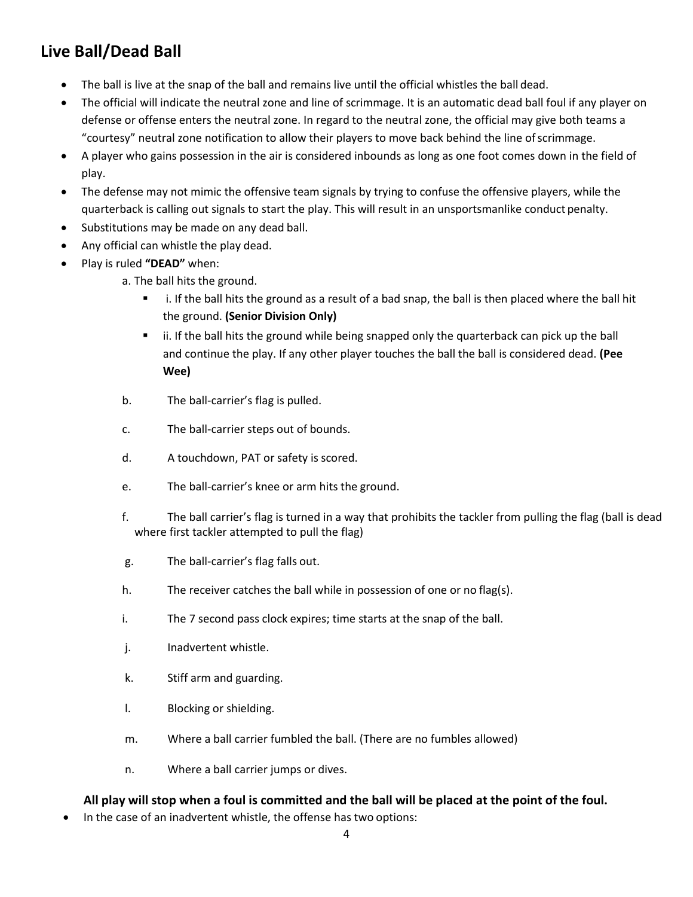## **Live Ball/Dead Ball**

- The ball is live at the snap of the ball and remains live until the official whistles the ball dead.
- The official will indicate the neutral zone and line of scrimmage. It is an automatic dead ball foul if any player on defense or offense enters the neutral zone. In regard to the neutral zone, the official may give both teams a "courtesy" neutral zone notification to allow their players to move back behind the line ofscrimmage.
- A player who gains possession in the air is considered inbounds as long as one foot comes down in the field of play.
- The defense may not mimic the offensive team signals by trying to confuse the offensive players, while the quarterback is calling out signals to start the play. This will result in an unsportsmanlike conduct penalty.
- Substitutions may be made on any dead ball.
- Any official can whistle the play dead.
- Play is ruled **"DEAD"** when:
	- a. The ball hits the ground.
		- i. If the ball hits the ground as a result of a bad snap, the ball is then placed where the ball hit the ground. **(Senior Division Only)**
		- ii. If the ball hits the ground while being snapped only the quarterback can pick up the ball and continue the play. If any other player touches the ball the ball is considered dead. **(Pee Wee)**
	- b. The ball-carrier's flag is pulled.
	- c. The ball-carrier steps out of bounds.
	- d. A touchdown, PAT or safety is scored.
	- e. The ball-carrier's knee or arm hits the ground.
	- f. The ball carrier's flag is turned in a way that prohibits the tackler from pulling the flag (ball is dead where first tackler attempted to pull the flag)
	- g. The ball-carrier's flag falls out.
	- h. The receiver catches the ball while in possession of one or no flag(s).
	- i. The 7 second pass clock expires; time starts at the snap of the ball.
	- j. Inadvertent whistle.
	- k. Stiff arm and guarding.
	- l. Blocking or shielding.
	- m. Where a ball carrier fumbled the ball. (There are no fumbles allowed)
	- n. Where a ball carrier jumps or dives.

#### **All play will stop when a foul is committed and the ball will be placed at the point of the foul.**

In the case of an inadvertent whistle, the offense has two options: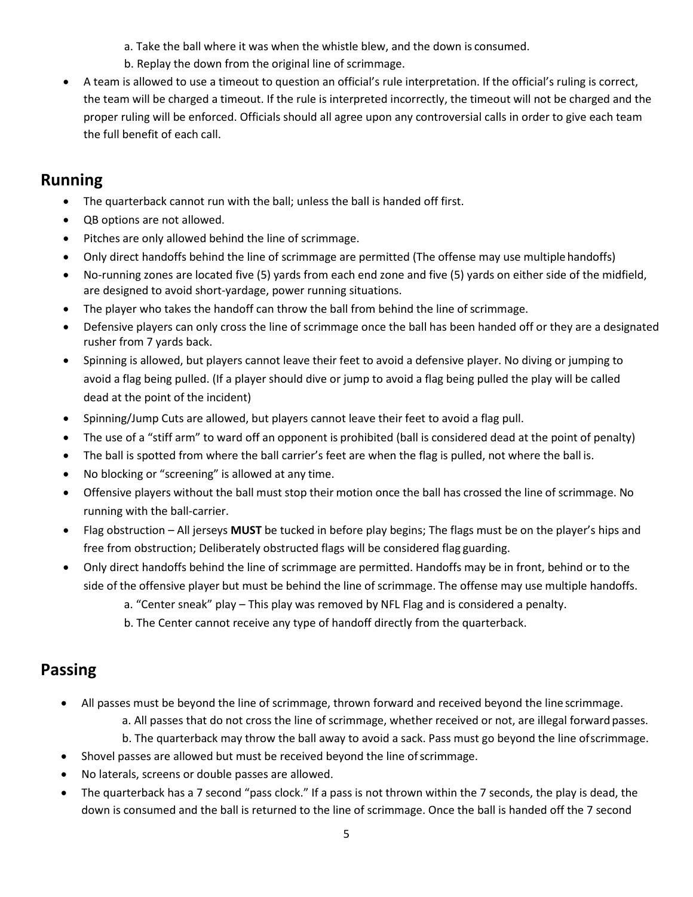a. Take the ball where it was when the whistle blew, and the down is consumed.

- b. Replay the down from the original line of scrimmage.
- A team is allowed to use a timeout to question an official's rule interpretation. If the official's ruling is correct, the team will be charged a timeout. If the rule is interpreted incorrectly, the timeout will not be charged and the proper ruling will be enforced. Officials should all agree upon any controversial calls in order to give each team the full benefit of each call.

### **Running**

- The quarterback cannot run with the ball; unless the ball is handed off first.
- QB options are not allowed.
- Pitches are only allowed behind the line of scrimmage.
- Only direct handoffs behind the line of scrimmage are permitted (The offense may use multiplehandoffs)
- No-running zones are located five (5) yards from each end zone and five (5) yards on either side of the midfield, are designed to avoid short-yardage, power running situations.
- The player who takes the handoff can throw the ball from behind the line of scrimmage.
- Defensive players can only cross the line of scrimmage once the ball has been handed off or they are a designated rusher from 7 yards back.
- Spinning is allowed, but players cannot leave their feet to avoid a defensive player. No diving or jumping to avoid a flag being pulled. (If a player should dive or jump to avoid a flag being pulled the play will be called dead at the point of the incident)
- Spinning/Jump Cuts are allowed, but players cannot leave their feet to avoid a flag pull.
- The use of a "stiff arm" to ward off an opponent is prohibited (ball is considered dead at the point of penalty)
- The ball is spotted from where the ball carrier's feet are when the flag is pulled, not where the ball is.
- No blocking or "screening" is allowed at any time.
- Offensive players without the ball must stop their motion once the ball has crossed the line of scrimmage. No running with the ball-carrier.
- Flag obstruction All jerseys **MUST** be tucked in before play begins; The flags must be on the player's hips and free from obstruction; Deliberately obstructed flags will be considered flag guarding.
- Only direct handoffs behind the line of scrimmage are permitted. Handoffs may be in front, behind or to the side of the offensive player but must be behind the line of scrimmage. The offense may use multiple handoffs.
	- a. "Center sneak" play This play was removed by NFL Flag and is considered a penalty.
	- b. The Center cannot receive any type of handoff directly from the quarterback.

### **Passing**

- All passes must be beyond the line of scrimmage, thrown forward and received beyond the line scrimmage.
	- a. All passes that do not cross the line of scrimmage, whether received or not, are illegal forward passes.
	- b. The quarterback may throw the ball away to avoid a sack. Pass must go beyond the line ofscrimmage.
- Shovel passes are allowed but must be received beyond the line of scrimmage.
- No laterals, screens or double passes are allowed.
- The quarterback has a 7 second "pass clock." If a pass is not thrown within the 7 seconds, the play is dead, the down is consumed and the ball is returned to the line of scrimmage. Once the ball is handed off the 7 second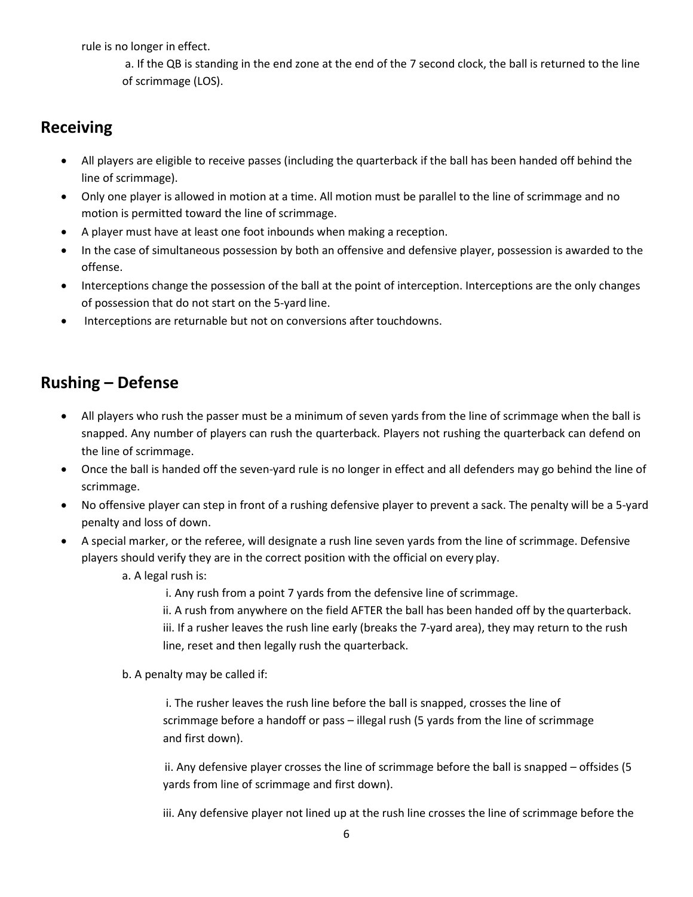rule is no longer in effect.

a. If the QB is standing in the end zone at the end of the 7 second clock, the ball is returned to the line of scrimmage (LOS).

#### **Receiving**

- All players are eligible to receive passes (including the quarterback if the ball has been handed off behind the line of scrimmage).
- Only one player is allowed in motion at a time. All motion must be parallel to the line of scrimmage and no motion is permitted toward the line of scrimmage.
- A player must have at least one foot inbounds when making a reception.
- In the case of simultaneous possession by both an offensive and defensive player, possession is awarded to the offense.
- Interceptions change the possession of the ball at the point of interception. Interceptions are the only changes of possession that do not start on the 5-yard line.
- Interceptions are returnable but not on conversions after touchdowns.

### **Rushing – Defense**

- All players who rush the passer must be a minimum of seven yards from the line of scrimmage when the ball is snapped. Any number of players can rush the quarterback. Players not rushing the quarterback can defend on the line of scrimmage.
- Once the ball is handed off the seven-yard rule is no longer in effect and all defenders may go behind the line of scrimmage.
- No offensive player can step in front of a rushing defensive player to prevent a sack. The penalty will be a 5-yard penalty and loss of down.
- A special marker, or the referee, will designate a rush line seven yards from the line of scrimmage. Defensive players should verify they are in the correct position with the official on every play.
	- a. A legal rush is:
		- i. Any rush from a point 7 yards from the defensive line of scrimmage.
		- ii. A rush from anywhere on the field AFTER the ball has been handed off by the quarterback. iii. If a rusher leaves the rush line early (breaks the 7-yard area), they may return to the rush line, reset and then legally rush the quarterback.
	- b. A penalty may be called if:

i. The rusher leaves the rush line before the ball is snapped, crosses the line of scrimmage before a handoff or pass – illegal rush (5 yards from the line of scrimmage and first down).

ii. Any defensive player crosses the line of scrimmage before the ball is snapped – offsides (5 yards from line of scrimmage and first down).

iii. Any defensive player not lined up at the rush line crosses the line of scrimmage before the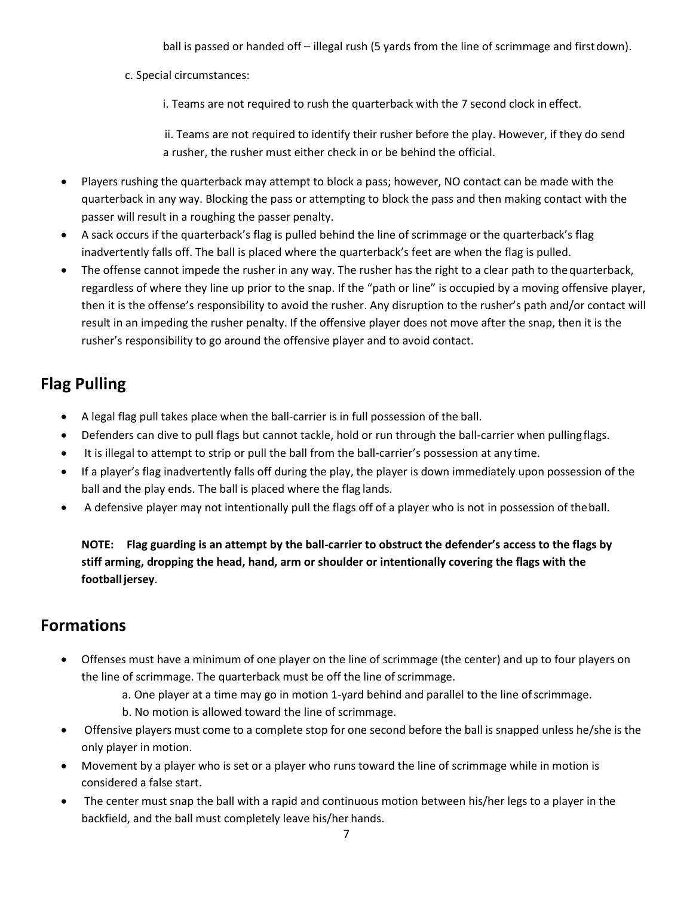ball is passed or handed off – illegal rush (5 yards from the line of scrimmage and firstdown).

c. Special circumstances:

i. Teams are not required to rush the quarterback with the 7 second clock in effect.

ii. Teams are not required to identify their rusher before the play. However, if they do send a rusher, the rusher must either check in or be behind the official.

- Players rushing the quarterback may attempt to block a pass; however, NO contact can be made with the quarterback in any way. Blocking the pass or attempting to block the pass and then making contact with the passer will result in a roughing the passer penalty.
- A sack occurs if the quarterback's flag is pulled behind the line of scrimmage or the quarterback's flag inadvertently falls off. The ball is placed where the quarterback's feet are when the flag is pulled.
- The offense cannot impede the rusher in any way. The rusher has the right to a clear path to thequarterback, regardless of where they line up prior to the snap. If the "path or line" is occupied by a moving offensive player, then it is the offense's responsibility to avoid the rusher. Any disruption to the rusher's path and/or contact will result in an impeding the rusher penalty. If the offensive player does not move after the snap, then it is the rusher's responsibility to go around the offensive player and to avoid contact.

## **Flag Pulling**

- A legal flag pull takes place when the ball-carrier is in full possession of the ball.
- Defenders can dive to pull flags but cannot tackle, hold or run through the ball-carrier when pullingflags.
- It is illegal to attempt to strip or pull the ball from the ball-carrier's possession at any time.
- If a player's flag inadvertently falls off during the play, the player is down immediately upon possession of the ball and the play ends. The ball is placed where the flag lands.
- A defensive player may not intentionally pull the flags off of a player who is not in possession of theball.

**NOTE: Flag guarding is an attempt by the ball-carrier to obstruct the defender's access to the flags by stiff arming, dropping the head, hand, arm or shoulder or intentionally covering the flags with the footballjersey**.

#### **Formations**

- Offenses must have a minimum of one player on the line of scrimmage (the center) and up to four players on the line of scrimmage. The quarterback must be off the line of scrimmage.
	- a. One player at a time may go in motion 1-yard behind and parallel to the line ofscrimmage.
	- b. No motion is allowed toward the line of scrimmage.
- Offensive players must come to a complete stop for one second before the ball is snapped unless he/she is the only player in motion.
- Movement by a player who is set or a player who runs toward the line of scrimmage while in motion is considered a false start.
- The center must snap the ball with a rapid and continuous motion between his/her legs to a player in the backfield, and the ball must completely leave his/her hands.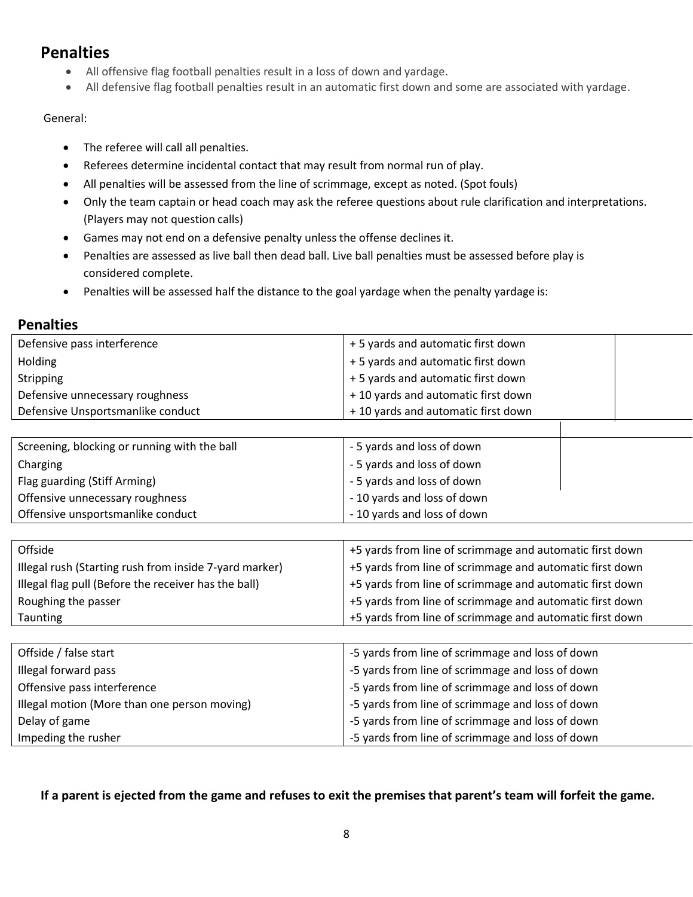#### **Penalties**

- All offensive flag football penalties result in a loss of down and yardage.
- All defensive flag football penalties result in an automatic first down and some are associated with yardage.

#### General:

- The referee will call all penalties.
- Referees determine incidental contact that may result from normal run of play.
- All penalties will be assessed from the line of scrimmage, except as noted. (Spot fouls)
- Only the team captain or head coach may ask the referee questions about rule clarification and interpretations. (Players may not question calls)
- Games may not end on a defensive penalty unless the offense declines it.
- Penalties are assessed as live ball then dead ball. Live ball penalties must be assessed before play is considered complete.
- Penalties will be assessed half the distance to the goal yardage when the penalty yardage is:

#### **Penalties**

| Defensive pass interference                            | +5 yards and automatic first down                        |
|--------------------------------------------------------|----------------------------------------------------------|
| Holding                                                | +5 yards and automatic first down                        |
| Stripping                                              | +5 yards and automatic first down                        |
| Defensive unnecessary roughness                        | +10 yards and automatic first down                       |
| Defensive Unsportsmanlike conduct                      | +10 yards and automatic first down                       |
|                                                        |                                                          |
| Screening, blocking or running with the ball           | - 5 yards and loss of down                               |
| Charging                                               | - 5 yards and loss of down                               |
| Flag guarding (Stiff Arming)                           | - 5 yards and loss of down                               |
| Offensive unnecessary roughness                        | - 10 yards and loss of down                              |
| Offensive unsportsmanlike conduct                      | - 10 yards and loss of down                              |
|                                                        |                                                          |
|                                                        |                                                          |
| Offside                                                | +5 yards from line of scrimmage and automatic first down |
| Illegal rush (Starting rush from inside 7-yard marker) | +5 yards from line of scrimmage and automatic first down |
| Illegal flag pull (Before the receiver has the ball)   | +5 yards from line of scrimmage and automatic first down |
| Roughing the passer                                    | +5 yards from line of scrimmage and automatic first down |
| Taunting                                               | +5 yards from line of scrimmage and automatic first down |
|                                                        |                                                          |
| Offside / false start                                  | -5 yards from line of scrimmage and loss of down         |
| Illegal forward pass                                   | -5 yards from line of scrimmage and loss of down         |
| Offensive pass interference                            | -5 yards from line of scrimmage and loss of down         |
| Illegal motion (More than one person moving)           | -5 yards from line of scrimmage and loss of down         |
| Delay of game                                          | -5 yards from line of scrimmage and loss of down         |

#### **If a parent is ejected from the game and refuses to exit the premises that parent's team will forfeit the game.**